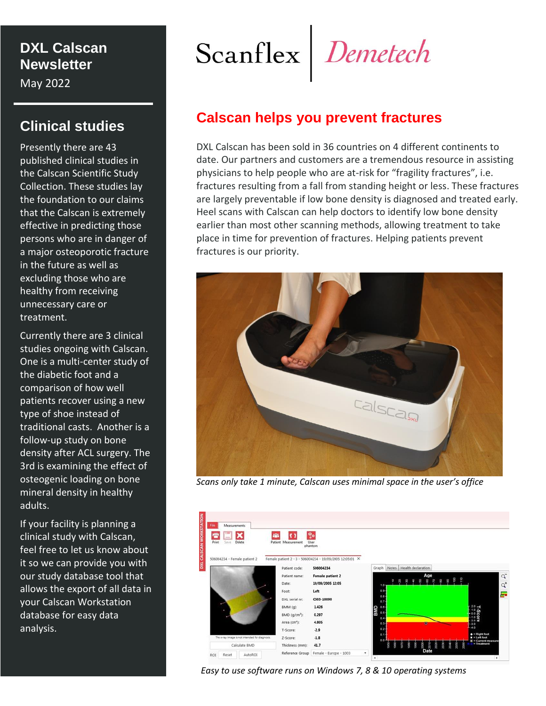## **DXL Calscan Newsletter**

May 2022

# **Clinical studies**

Presently there are 43 published clinical studies in the Calscan Scientific Study Collection. These studies lay the foundation to our claims that the Calscan is extremely effective in predicting those persons who are in danger of a major osteoporotic fracture in the future as well as excluding those who are healthy from receiving unnecessary care or treatment.

Currently there are 3 clinical studies ongoing with Calscan. One is a multi-center study of the diabetic foot and a comparison of how well patients recover using a new type of shoe instead of traditional casts. Another is a follow-up study on bone density after ACL surgery. The 3rd is examining the effect of osteogenic loading on bone mineral density in healthy adults.

If your facility is planning a clinical study with Calscan, feel free to let us know about it so we can provide you with our study database tool that allows the export of all data in your Calscan Workstation database for easy data analysis.

Scanflex Demetech

# **Calscan helps you prevent fractures**

DXL Calscan has been sold in 36 countries on 4 different continents to date. Our partners and customers are a tremendous resource in assisting physicians to help people who are at-risk for "fragility fractures", i.e. fractures resulting from a fall from standing height or less. These fractures are largely preventable if low bone density is diagnosed and treated early. Heel scans with Calscan can help doctors to identify low bone density earlier than most other scanning methods, allowing treatment to take place in time for prevention of fractures. Helping patients prevent fractures is our priority.



*Scans only take 1 minute, Calscan uses minimal space in the user's office*



 *Easy to use software runs on Windows 7, 8 & 10 operating systems*